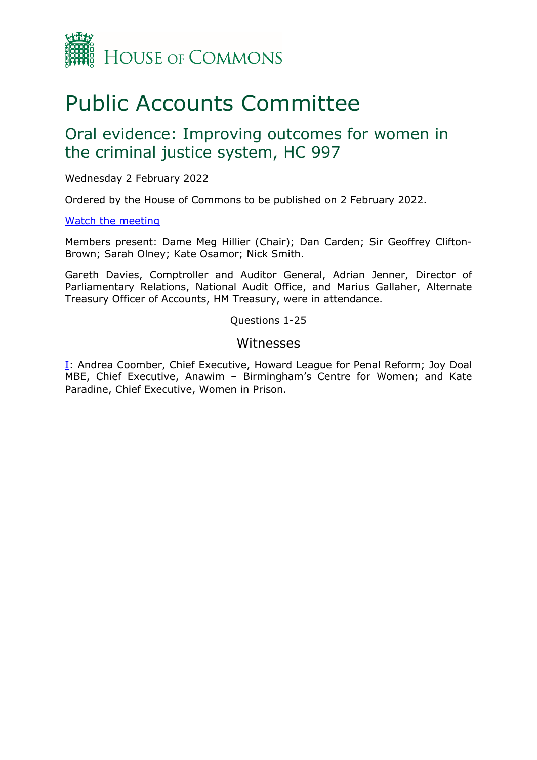

# Public Accounts Committee

## Oral evidence: Improving outcomes for women in the criminal justice system, HC 997

Wednesday 2 February 2022

Ordered by the House of Commons to be published on 2 February 2022.

### [Watch the meeting](https://www.parliamentlive.tv/Event/Index/f9456a5e-199d-4383-a0ff-86f4afd5456e)

Members present: Dame Meg Hillier (Chair); Dan Carden; Sir Geoffrey Clifton-Brown; Sarah Olney; Kate Osamor; Nick Smith.

Gareth Davies, Comptroller and Auditor General, Adrian Jenner, Director of Parliamentary Relations, National Audit Office, and Marius Gallaher, Alternate Treasury Officer of Accounts, HM Treasury, were in attendance.

Questions 1-25

## Witnesses

[I:](#page-1-0) Andrea Coomber, Chief Executive, Howard League for Penal Reform; Joy Doal MBE, Chief Executive, Anawim – Birmingham's Centre for Women; and Kate Paradine, Chief Executive, Women in Prison.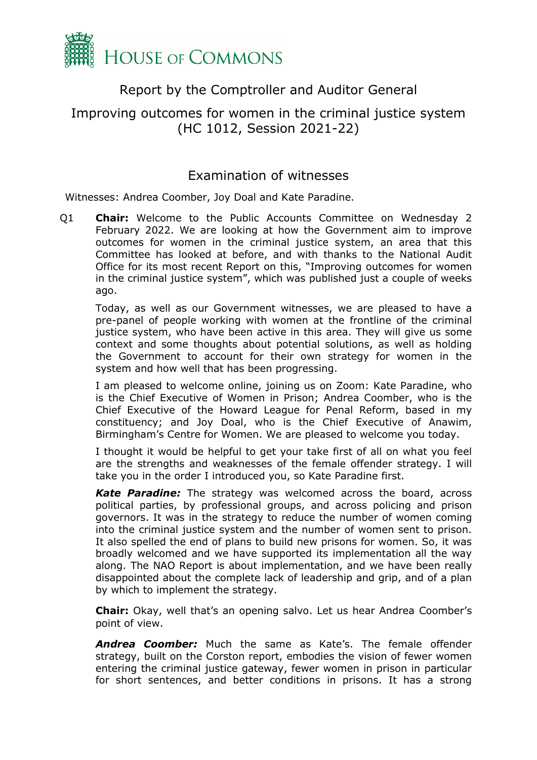

## Report by the Comptroller and Auditor General

## <span id="page-1-0"></span>Improving outcomes for women in the criminal justice system (HC 1012, Session 2021-22)

## Examination of witnesses

Witnesses: Andrea Coomber, Joy Doal and Kate Paradine.

Q1 **Chair:** Welcome to the Public Accounts Committee on Wednesday 2 February 2022. We are looking at how the Government aim to improve outcomes for women in the criminal justice system, an area that this Committee has looked at before, and with thanks to the National Audit Office for its most recent Report on this, "Improving outcomes for women in the criminal justice system", which was published just a couple of weeks ago.

Today, as well as our Government witnesses, we are pleased to have a pre-panel of people working with women at the frontline of the criminal justice system, who have been active in this area. They will give us some context and some thoughts about potential solutions, as well as holding the Government to account for their own strategy for women in the system and how well that has been progressing.

I am pleased to welcome online, joining us on Zoom: Kate Paradine, who is the Chief Executive of Women in Prison; Andrea Coomber, who is the Chief Executive of the Howard League for Penal Reform, based in my constituency; and Joy Doal, who is the Chief Executive of Anawim, Birmingham's Centre for Women. We are pleased to welcome you today.

I thought it would be helpful to get your take first of all on what you feel are the strengths and weaknesses of the female offender strategy. I will take you in the order I introduced you, so Kate Paradine first.

*Kate Paradine:* The strategy was welcomed across the board, across political parties, by professional groups, and across policing and prison governors. It was in the strategy to reduce the number of women coming into the criminal justice system and the number of women sent to prison. It also spelled the end of plans to build new prisons for women. So, it was broadly welcomed and we have supported its implementation all the way along. The NAO Report is about implementation, and we have been really disappointed about the complete lack of leadership and grip, and of a plan by which to implement the strategy.

**Chair:** Okay, well that's an opening salvo. Let us hear Andrea Coomber's point of view.

*Andrea Coomber:* Much the same as Kate's. The female offender strategy, built on the Corston report, embodies the vision of fewer women entering the criminal justice gateway, fewer women in prison in particular for short sentences, and better conditions in prisons. It has a strong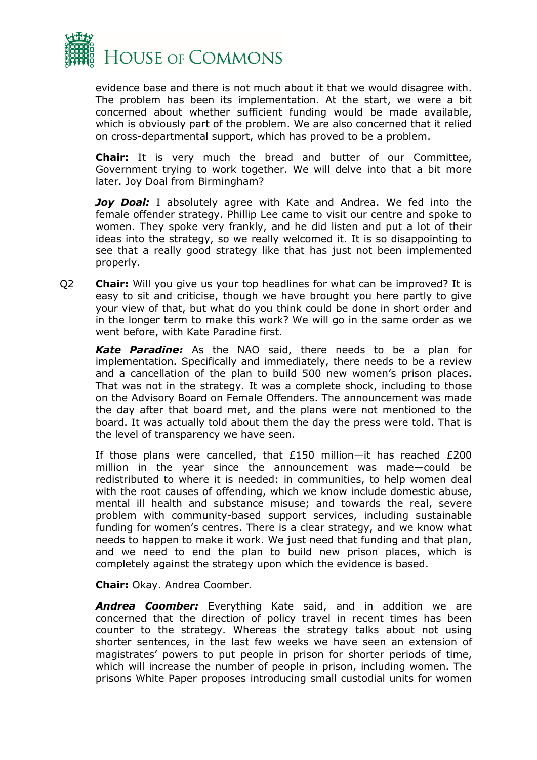

evidence base and there is not much about it that we would disagree with. The problem has been its implementation. At the start, we were a bit concerned about whether sufficient funding would be made available, which is obviously part of the problem. We are also concerned that it relied on cross-departmental support, which has proved to be a problem.

**Chair:** It is very much the bread and butter of our Committee, Government trying to work together. We will delve into that a bit more later. Joy Doal from Birmingham?

*Joy Doal:* I absolutely agree with Kate and Andrea. We fed into the female offender strategy. Phillip Lee came to visit our centre and spoke to women. They spoke very frankly, and he did listen and put a lot of their ideas into the strategy, so we really welcomed it. It is so disappointing to see that a really good strategy like that has just not been implemented properly.

Q2 **Chair:** Will you give us your top headlines for what can be improved? It is easy to sit and criticise, though we have brought you here partly to give your view of that, but what do you think could be done in short order and in the longer term to make this work? We will go in the same order as we went before, with Kate Paradine first.

*Kate Paradine:* As the NAO said, there needs to be a plan for implementation. Specifically and immediately, there needs to be a review and a cancellation of the plan to build 500 new women's prison places. That was not in the strategy. It was a complete shock, including to those on the Advisory Board on Female Offenders. The announcement was made the day after that board met, and the plans were not mentioned to the board. It was actually told about them the day the press were told. That is the level of transparency we have seen.

If those plans were cancelled, that £150 million—it has reached £200 million in the year since the announcement was made—could be redistributed to where it is needed: in communities, to help women deal with the root causes of offending, which we know include domestic abuse, mental ill health and substance misuse; and towards the real, severe problem with community-based support services, including sustainable funding for women's centres. There is a clear strategy, and we know what needs to happen to make it work. We just need that funding and that plan, and we need to end the plan to build new prison places, which is completely against the strategy upon which the evidence is based.

**Chair:** Okay. Andrea Coomber.

*Andrea Coomber:* Everything Kate said, and in addition we are concerned that the direction of policy travel in recent times has been counter to the strategy. Whereas the strategy talks about not using shorter sentences, in the last few weeks we have seen an extension of magistrates' powers to put people in prison for shorter periods of time, which will increase the number of people in prison, including women. The prisons White Paper proposes introducing small custodial units for women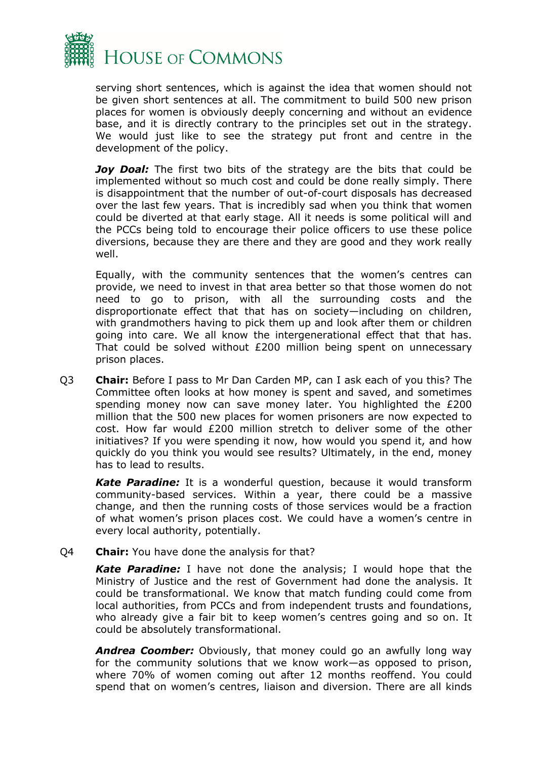

serving short sentences, which is against the idea that women should not be given short sentences at all. The commitment to build 500 new prison places for women is obviously deeply concerning and without an evidence base, and it is directly contrary to the principles set out in the strategy. We would just like to see the strategy put front and centre in the development of the policy.

*Joy Doal:* The first two bits of the strategy are the bits that could be implemented without so much cost and could be done really simply. There is disappointment that the number of out-of-court disposals has decreased over the last few years. That is incredibly sad when you think that women could be diverted at that early stage. All it needs is some political will and the PCCs being told to encourage their police officers to use these police diversions, because they are there and they are good and they work really well.

Equally, with the community sentences that the women's centres can provide, we need to invest in that area better so that those women do not need to go to prison, with all the surrounding costs and the disproportionate effect that that has on society—including on children, with grandmothers having to pick them up and look after them or children going into care. We all know the intergenerational effect that that has. That could be solved without £200 million being spent on unnecessary prison places.

Q3 **Chair:** Before I pass to Mr Dan Carden MP, can I ask each of you this? The Committee often looks at how money is spent and saved, and sometimes spending money now can save money later. You highlighted the £200 million that the 500 new places for women prisoners are now expected to cost. How far would £200 million stretch to deliver some of the other initiatives? If you were spending it now, how would you spend it, and how quickly do you think you would see results? Ultimately, in the end, money has to lead to results.

*Kate Paradine:* It is a wonderful question, because it would transform community-based services. Within a year, there could be a massive change, and then the running costs of those services would be a fraction of what women's prison places cost. We could have a women's centre in every local authority, potentially.

Q4 **Chair:** You have done the analysis for that?

*Kate Paradine:* I have not done the analysis; I would hope that the Ministry of Justice and the rest of Government had done the analysis. It could be transformational. We know that match funding could come from local authorities, from PCCs and from independent trusts and foundations, who already give a fair bit to keep women's centres going and so on. It could be absolutely transformational.

**Andrea Coomber:** Obviously, that money could go an awfully long way for the community solutions that we know work—as opposed to prison, where 70% of women coming out after 12 months reoffend. You could spend that on women's centres, liaison and diversion. There are all kinds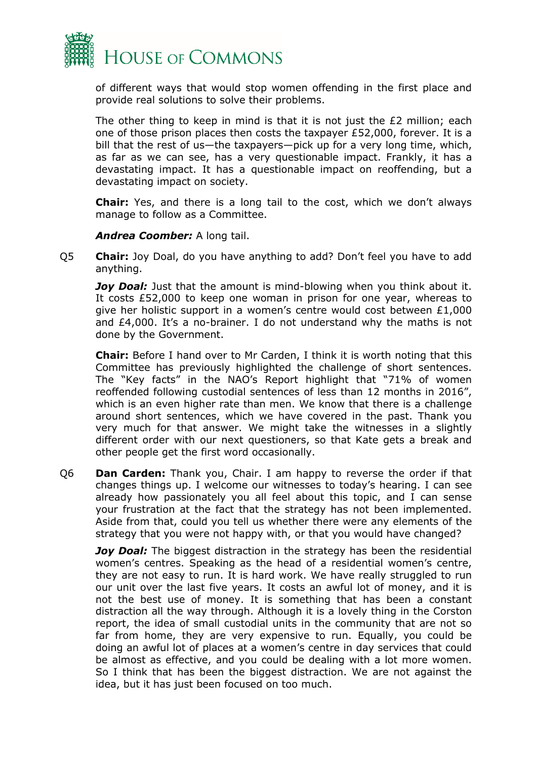

of different ways that would stop women offending in the first place and provide real solutions to solve their problems.

The other thing to keep in mind is that it is not just the £2 million; each one of those prison places then costs the taxpayer £52,000, forever. It is a bill that the rest of us—the taxpayers—pick up for a very long time, which, as far as we can see, has a very questionable impact. Frankly, it has a devastating impact. It has a questionable impact on reoffending, but a devastating impact on society.

**Chair:** Yes, and there is a long tail to the cost, which we don't always manage to follow as a Committee.

#### *Andrea Coomber:* A long tail.

Q5 **Chair:** Joy Doal, do you have anything to add? Don't feel you have to add anything.

*Joy Doal:* Just that the amount is mind-blowing when you think about it. It costs £52,000 to keep one woman in prison for one year, whereas to give her holistic support in a women's centre would cost between £1,000 and £4,000. It's a no-brainer. I do not understand why the maths is not done by the Government.

**Chair:** Before I hand over to Mr Carden, I think it is worth noting that this Committee has previously highlighted the challenge of short sentences. The "Key facts" in the NAO's Report highlight that "71% of women reoffended following custodial sentences of less than 12 months in 2016", which is an even higher rate than men. We know that there is a challenge around short sentences, which we have covered in the past. Thank you very much for that answer. We might take the witnesses in a slightly different order with our next questioners, so that Kate gets a break and other people get the first word occasionally.

Q6 **Dan Carden:** Thank you, Chair. I am happy to reverse the order if that changes things up. I welcome our witnesses to today's hearing. I can see already how passionately you all feel about this topic, and I can sense your frustration at the fact that the strategy has not been implemented. Aside from that, could you tell us whether there were any elements of the strategy that you were not happy with, or that you would have changed?

*Joy Doal:* The biggest distraction in the strategy has been the residential women's centres. Speaking as the head of a residential women's centre, they are not easy to run. It is hard work. We have really struggled to run our unit over the last five years. It costs an awful lot of money, and it is not the best use of money. It is something that has been a constant distraction all the way through. Although it is a lovely thing in the Corston report, the idea of small custodial units in the community that are not so far from home, they are very expensive to run. Equally, you could be doing an awful lot of places at a women's centre in day services that could be almost as effective, and you could be dealing with a lot more women. So I think that has been the biggest distraction. We are not against the idea, but it has just been focused on too much.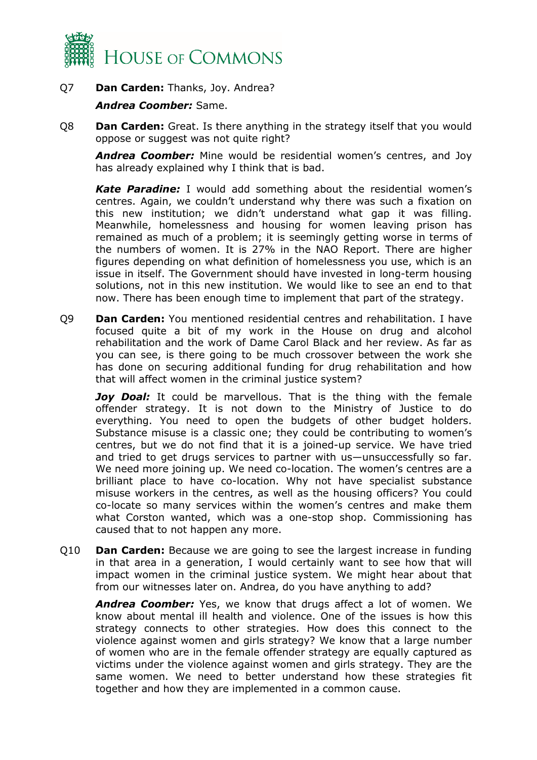

## Q7 **Dan Carden:** Thanks, Joy. Andrea?

### *Andrea Coomber:* Same.

Q8 **Dan Carden:** Great. Is there anything in the strategy itself that you would oppose or suggest was not quite right?

*Andrea Coomber:* Mine would be residential women's centres, and Joy has already explained why I think that is bad.

*Kate Paradine:* I would add something about the residential women's centres. Again, we couldn't understand why there was such a fixation on this new institution; we didn't understand what gap it was filling. Meanwhile, homelessness and housing for women leaving prison has remained as much of a problem; it is seemingly getting worse in terms of the numbers of women. It is 27% in the NAO Report. There are higher figures depending on what definition of homelessness you use, which is an issue in itself. The Government should have invested in long-term housing solutions, not in this new institution. We would like to see an end to that now. There has been enough time to implement that part of the strategy.

Q9 **Dan Carden:** You mentioned residential centres and rehabilitation. I have focused quite a bit of my work in the House on drug and alcohol rehabilitation and the work of Dame Carol Black and her review. As far as you can see, is there going to be much crossover between the work she has done on securing additional funding for drug rehabilitation and how that will affect women in the criminal justice system?

*Joy Doal:* It could be marvellous. That is the thing with the female offender strategy. It is not down to the Ministry of Justice to do everything. You need to open the budgets of other budget holders. Substance misuse is a classic one; they could be contributing to women's centres, but we do not find that it is a joined-up service. We have tried and tried to get drugs services to partner with us—unsuccessfully so far. We need more joining up. We need co-location. The women's centres are a brilliant place to have co-location. Why not have specialist substance misuse workers in the centres, as well as the housing officers? You could co-locate so many services within the women's centres and make them what Corston wanted, which was a one-stop shop. Commissioning has caused that to not happen any more.

Q10 **Dan Carden:** Because we are going to see the largest increase in funding in that area in a generation, I would certainly want to see how that will impact women in the criminal justice system. We might hear about that from our witnesses later on. Andrea, do you have anything to add?

*Andrea Coomber:* Yes, we know that drugs affect a lot of women. We know about mental ill health and violence. One of the issues is how this strategy connects to other strategies. How does this connect to the violence against women and girls strategy? We know that a large number of women who are in the female offender strategy are equally captured as victims under the violence against women and girls strategy. They are the same women. We need to better understand how these strategies fit together and how they are implemented in a common cause.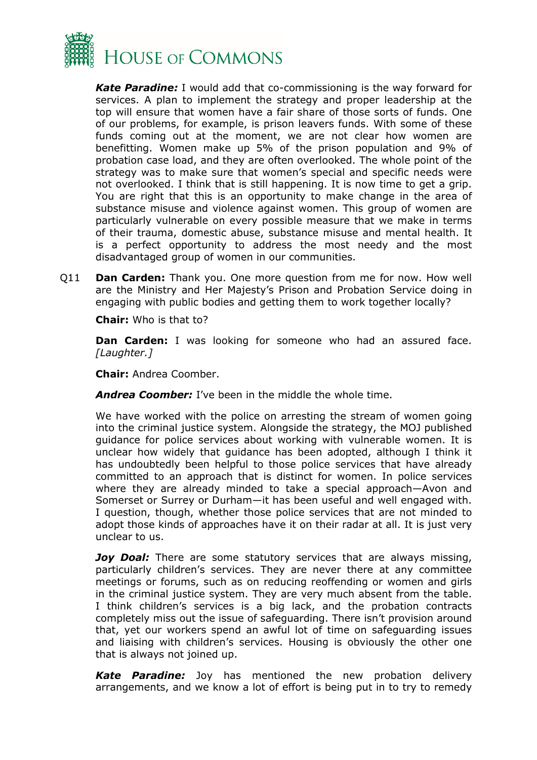

*Kate Paradine:* I would add that co-commissioning is the way forward for services. A plan to implement the strategy and proper leadership at the top will ensure that women have a fair share of those sorts of funds. One of our problems, for example, is prison leavers funds. With some of these funds coming out at the moment, we are not clear how women are benefitting. Women make up 5% of the prison population and 9% of probation case load, and they are often overlooked. The whole point of the strategy was to make sure that women's special and specific needs were not overlooked. I think that is still happening. It is now time to get a grip. You are right that this is an opportunity to make change in the area of substance misuse and violence against women. This group of women are particularly vulnerable on every possible measure that we make in terms of their trauma, domestic abuse, substance misuse and mental health. It is a perfect opportunity to address the most needy and the most disadvantaged group of women in our communities.

Q11 **Dan Carden:** Thank you. One more question from me for now. How well are the Ministry and Her Majesty's Prison and Probation Service doing in engaging with public bodies and getting them to work together locally?

**Chair:** Who is that to?

**Dan Carden:** I was looking for someone who had an assured face. *[Laughter.]*

**Chair:** Andrea Coomber.

*Andrea Coomber:* I've been in the middle the whole time.

We have worked with the police on arresting the stream of women going into the criminal justice system. Alongside the strategy, the MOJ published guidance for police services about working with vulnerable women. It is unclear how widely that guidance has been adopted, although I think it has undoubtedly been helpful to those police services that have already committed to an approach that is distinct for women. In police services where they are already minded to take a special approach—Avon and Somerset or Surrey or Durham—it has been useful and well engaged with. I question, though, whether those police services that are not minded to adopt those kinds of approaches have it on their radar at all. It is just very unclear to us.

*Joy Doal:* There are some statutory services that are always missing, particularly children's services. They are never there at any committee meetings or forums, such as on reducing reoffending or women and girls in the criminal justice system. They are very much absent from the table. I think children's services is a big lack, and the probation contracts completely miss out the issue of safeguarding. There isn't provision around that, yet our workers spend an awful lot of time on safeguarding issues and liaising with children's services. Housing is obviously the other one that is always not joined up.

*Kate Paradine:* Joy has mentioned the new probation delivery arrangements, and we know a lot of effort is being put in to try to remedy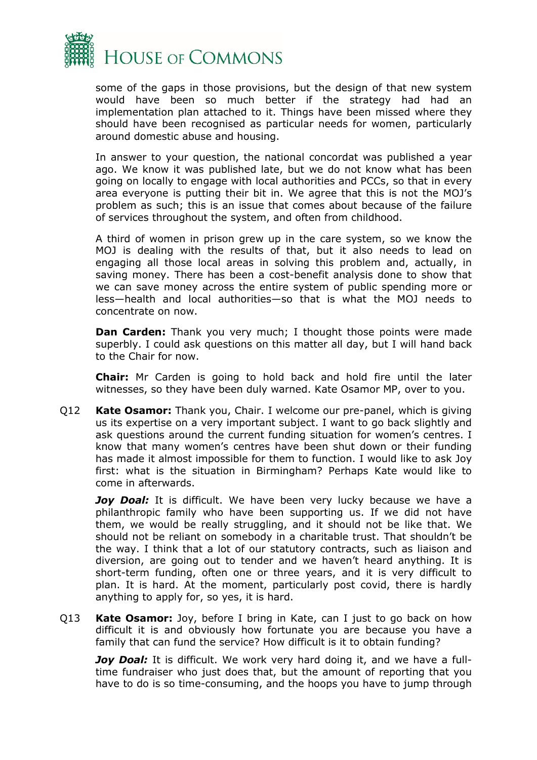

some of the gaps in those provisions, but the design of that new system would have been so much better if the strategy had had an implementation plan attached to it. Things have been missed where they should have been recognised as particular needs for women, particularly around domestic abuse and housing.

In answer to your question, the national concordat was published a year ago. We know it was published late, but we do not know what has been going on locally to engage with local authorities and PCCs, so that in every area everyone is putting their bit in. We agree that this is not the MOJ's problem as such; this is an issue that comes about because of the failure of services throughout the system, and often from childhood.

A third of women in prison grew up in the care system, so we know the MOJ is dealing with the results of that, but it also needs to lead on engaging all those local areas in solving this problem and, actually, in saving money. There has been a cost-benefit analysis done to show that we can save money across the entire system of public spending more or less—health and local authorities—so that is what the MOJ needs to concentrate on now.

**Dan Carden:** Thank you very much; I thought those points were made superbly. I could ask questions on this matter all day, but I will hand back to the Chair for now.

**Chair:** Mr Carden is going to hold back and hold fire until the later witnesses, so they have been duly warned. Kate Osamor MP, over to you.

Q12 **Kate Osamor:** Thank you, Chair. I welcome our pre-panel, which is giving us its expertise on a very important subject. I want to go back slightly and ask questions around the current funding situation for women's centres. I know that many women's centres have been shut down or their funding has made it almost impossible for them to function. I would like to ask Joy first: what is the situation in Birmingham? Perhaps Kate would like to come in afterwards.

Joy Doal: It is difficult. We have been very lucky because we have a philanthropic family who have been supporting us. If we did not have them, we would be really struggling, and it should not be like that. We should not be reliant on somebody in a charitable trust. That shouldn't be the way. I think that a lot of our statutory contracts, such as liaison and diversion, are going out to tender and we haven't heard anything. It is short-term funding, often one or three years, and it is very difficult to plan. It is hard. At the moment, particularly post covid, there is hardly anything to apply for, so yes, it is hard.

Q13 **Kate Osamor:** Joy, before I bring in Kate, can I just to go back on how difficult it is and obviously how fortunate you are because you have a family that can fund the service? How difficult is it to obtain funding?

*Joy Doal:* It is difficult. We work very hard doing it, and we have a fulltime fundraiser who just does that, but the amount of reporting that you have to do is so time-consuming, and the hoops you have to jump through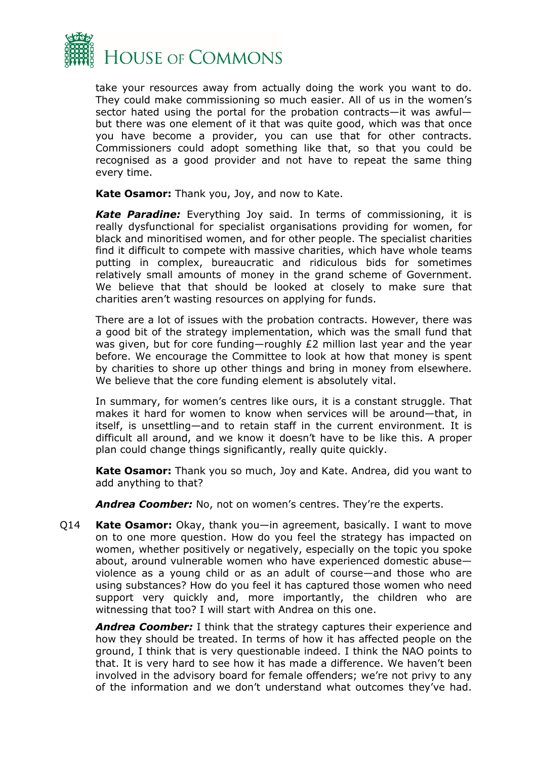

take your resources away from actually doing the work you want to do. They could make commissioning so much easier. All of us in the women's sector hated using the portal for the probation contracts—it was awful but there was one element of it that was quite good, which was that once you have become a provider, you can use that for other contracts. Commissioners could adopt something like that, so that you could be recognised as a good provider and not have to repeat the same thing every time.

**Kate Osamor:** Thank you, Joy, and now to Kate.

*Kate Paradine:* Everything Joy said. In terms of commissioning, it is really dysfunctional for specialist organisations providing for women, for black and minoritised women, and for other people. The specialist charities find it difficult to compete with massive charities, which have whole teams putting in complex, bureaucratic and ridiculous bids for sometimes relatively small amounts of money in the grand scheme of Government. We believe that that should be looked at closely to make sure that charities aren't wasting resources on applying for funds.

There are a lot of issues with the probation contracts. However, there was a good bit of the strategy implementation, which was the small fund that was given, but for core funding—roughly £2 million last year and the year before. We encourage the Committee to look at how that money is spent by charities to shore up other things and bring in money from elsewhere. We believe that the core funding element is absolutely vital.

In summary, for women's centres like ours, it is a constant struggle. That makes it hard for women to know when services will be around—that, in itself, is unsettling—and to retain staff in the current environment. It is difficult all around, and we know it doesn't have to be like this. A proper plan could change things significantly, really quite quickly.

**Kate Osamor:** Thank you so much, Joy and Kate. Andrea, did you want to add anything to that?

*Andrea Coomber:* No, not on women's centres. They're the experts.

Q14 **Kate Osamor:** Okay, thank you—in agreement, basically. I want to move on to one more question. How do you feel the strategy has impacted on women, whether positively or negatively, especially on the topic you spoke about, around vulnerable women who have experienced domestic abuse violence as a young child or as an adult of course—and those who are using substances? How do you feel it has captured those women who need support very quickly and, more importantly, the children who are witnessing that too? I will start with Andrea on this one.

*Andrea Coomber:* I think that the strategy captures their experience and how they should be treated. In terms of how it has affected people on the ground, I think that is very questionable indeed. I think the NAO points to that. It is very hard to see how it has made a difference. We haven't been involved in the advisory board for female offenders; we're not privy to any of the information and we don't understand what outcomes they've had.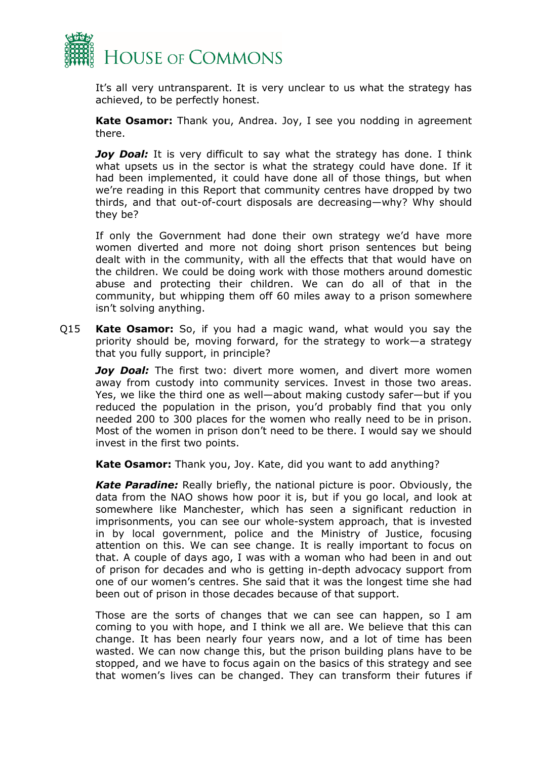

It's all very untransparent. It is very unclear to us what the strategy has achieved, to be perfectly honest.

**Kate Osamor:** Thank you, Andrea. Joy, I see you nodding in agreement there.

*Joy Doal:* It is very difficult to say what the strategy has done. I think what upsets us in the sector is what the strategy could have done. If it had been implemented, it could have done all of those things, but when we're reading in this Report that community centres have dropped by two thirds, and that out-of-court disposals are decreasing—why? Why should they be?

If only the Government had done their own strategy we'd have more women diverted and more not doing short prison sentences but being dealt with in the community, with all the effects that that would have on the children. We could be doing work with those mothers around domestic abuse and protecting their children. We can do all of that in the community, but whipping them off 60 miles away to a prison somewhere isn't solving anything.

Q15 **Kate Osamor:** So, if you had a magic wand, what would you say the priority should be, moving forward, for the strategy to work—a strategy that you fully support, in principle?

*Joy Doal:* The first two: divert more women, and divert more women away from custody into community services. Invest in those two areas. Yes, we like the third one as well—about making custody safer—but if you reduced the population in the prison, you'd probably find that you only needed 200 to 300 places for the women who really need to be in prison. Most of the women in prison don't need to be there. I would say we should invest in the first two points.

**Kate Osamor:** Thank you, Joy. Kate, did you want to add anything?

*Kate Paradine:* Really briefly, the national picture is poor. Obviously, the data from the NAO shows how poor it is, but if you go local, and look at somewhere like Manchester, which has seen a significant reduction in imprisonments, you can see our whole-system approach, that is invested in by local government, police and the Ministry of Justice, focusing attention on this. We can see change. It is really important to focus on that. A couple of days ago, I was with a woman who had been in and out of prison for decades and who is getting in-depth advocacy support from one of our women's centres. She said that it was the longest time she had been out of prison in those decades because of that support.

Those are the sorts of changes that we can see can happen, so I am coming to you with hope, and I think we all are. We believe that this can change. It has been nearly four years now, and a lot of time has been wasted. We can now change this, but the prison building plans have to be stopped, and we have to focus again on the basics of this strategy and see that women's lives can be changed. They can transform their futures if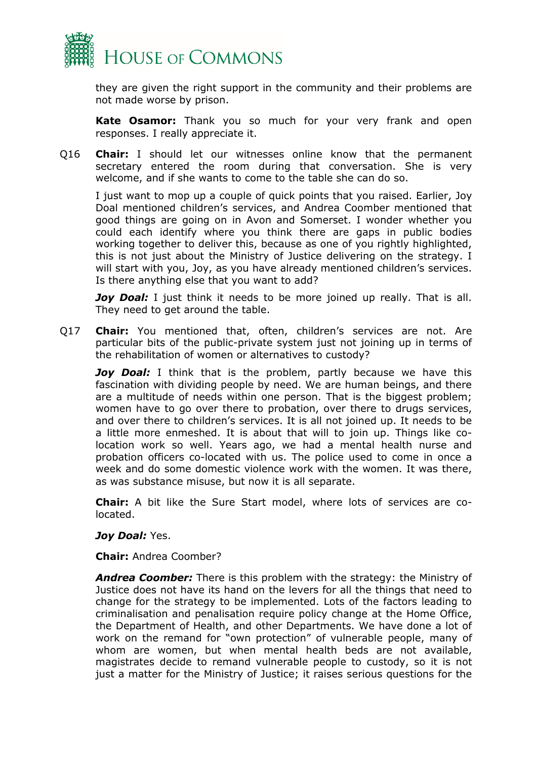

they are given the right support in the community and their problems are not made worse by prison.

**Kate Osamor:** Thank you so much for your very frank and open responses. I really appreciate it.

Q16 **Chair:** I should let our witnesses online know that the permanent secretary entered the room during that conversation. She is very welcome, and if she wants to come to the table she can do so.

I just want to mop up a couple of quick points that you raised. Earlier, Joy Doal mentioned children's services, and Andrea Coomber mentioned that good things are going on in Avon and Somerset. I wonder whether you could each identify where you think there are gaps in public bodies working together to deliver this, because as one of you rightly highlighted, this is not just about the Ministry of Justice delivering on the strategy. I will start with you, Joy, as you have already mentioned children's services. Is there anything else that you want to add?

*Joy Doal:* I just think it needs to be more joined up really. That is all. They need to get around the table.

Q17 **Chair:** You mentioned that, often, children's services are not. Are particular bits of the public-private system just not joining up in terms of the rehabilitation of women or alternatives to custody?

*Joy Doal:* I think that is the problem, partly because we have this fascination with dividing people by need. We are human beings, and there are a multitude of needs within one person. That is the biggest problem; women have to go over there to probation, over there to drugs services, and over there to children's services. It is all not joined up. It needs to be a little more enmeshed. It is about that will to join up. Things like colocation work so well. Years ago, we had a mental health nurse and probation officers co-located with us. The police used to come in once a week and do some domestic violence work with the women. It was there, as was substance misuse, but now it is all separate.

**Chair:** A bit like the Sure Start model, where lots of services are colocated.

### *Joy Doal:* Yes.

**Chair:** Andrea Coomber?

*Andrea Coomber:* There is this problem with the strategy: the Ministry of Justice does not have its hand on the levers for all the things that need to change for the strategy to be implemented. Lots of the factors leading to criminalisation and penalisation require policy change at the Home Office, the Department of Health, and other Departments. We have done a lot of work on the remand for "own protection" of vulnerable people, many of whom are women, but when mental health beds are not available, magistrates decide to remand vulnerable people to custody, so it is not just a matter for the Ministry of Justice; it raises serious questions for the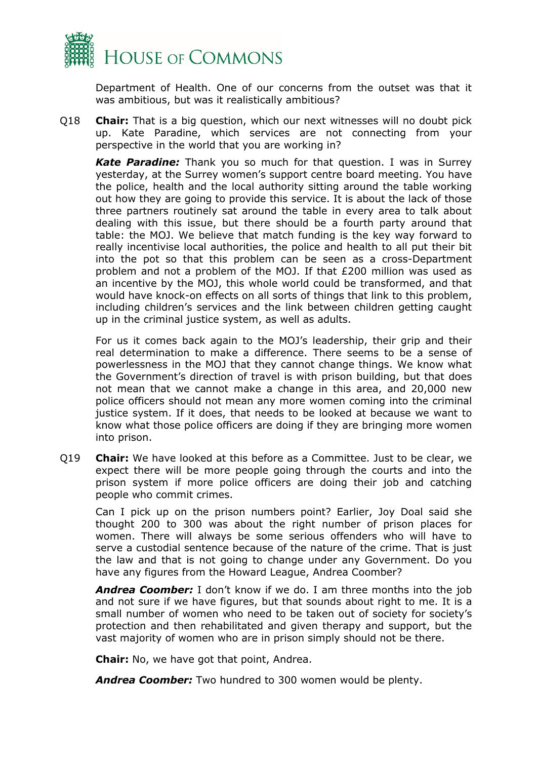

Department of Health. One of our concerns from the outset was that it was ambitious, but was it realistically ambitious?

Q18 **Chair:** That is a big question, which our next witnesses will no doubt pick up. Kate Paradine, which services are not connecting from your perspective in the world that you are working in?

*Kate Paradine:* Thank you so much for that question. I was in Surrey yesterday, at the Surrey women's support centre board meeting. You have the police, health and the local authority sitting around the table working out how they are going to provide this service. It is about the lack of those three partners routinely sat around the table in every area to talk about dealing with this issue, but there should be a fourth party around that table: the MOJ. We believe that match funding is the key way forward to really incentivise local authorities, the police and health to all put their bit into the pot so that this problem can be seen as a cross-Department problem and not a problem of the MOJ. If that £200 million was used as an incentive by the MOJ, this whole world could be transformed, and that would have knock-on effects on all sorts of things that link to this problem, including children's services and the link between children getting caught up in the criminal justice system, as well as adults.

For us it comes back again to the MOJ's leadership, their grip and their real determination to make a difference. There seems to be a sense of powerlessness in the MOJ that they cannot change things. We know what the Government's direction of travel is with prison building, but that does not mean that we cannot make a change in this area, and 20,000 new police officers should not mean any more women coming into the criminal justice system. If it does, that needs to be looked at because we want to know what those police officers are doing if they are bringing more women into prison.

Q19 **Chair:** We have looked at this before as a Committee. Just to be clear, we expect there will be more people going through the courts and into the prison system if more police officers are doing their job and catching people who commit crimes.

Can I pick up on the prison numbers point? Earlier, Joy Doal said she thought 200 to 300 was about the right number of prison places for women. There will always be some serious offenders who will have to serve a custodial sentence because of the nature of the crime. That is just the law and that is not going to change under any Government. Do you have any figures from the Howard League, Andrea Coomber?

*Andrea Coomber:* I don't know if we do. I am three months into the job and not sure if we have figures, but that sounds about right to me. It is a small number of women who need to be taken out of society for society's protection and then rehabilitated and given therapy and support, but the vast majority of women who are in prison simply should not be there.

**Chair:** No, we have got that point, Andrea.

*Andrea Coomber:* Two hundred to 300 women would be plenty.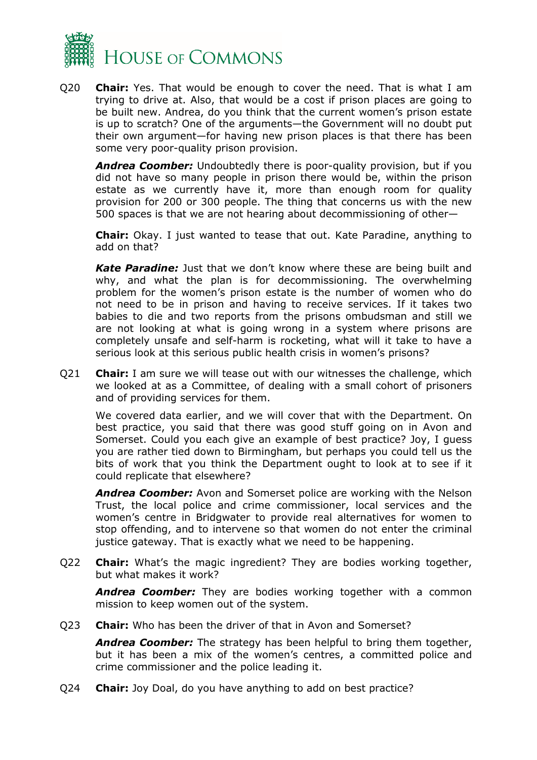

Q20 **Chair:** Yes. That would be enough to cover the need. That is what I am trying to drive at. Also, that would be a cost if prison places are going to be built new. Andrea, do you think that the current women's prison estate is up to scratch? One of the arguments—the Government will no doubt put their own argument—for having new prison places is that there has been some very poor-quality prison provision.

*Andrea Coomber:* Undoubtedly there is poor-quality provision, but if you did not have so many people in prison there would be, within the prison estate as we currently have it, more than enough room for quality provision for 200 or 300 people. The thing that concerns us with the new 500 spaces is that we are not hearing about decommissioning of other—

**Chair:** Okay. I just wanted to tease that out. Kate Paradine, anything to add on that?

*Kate Paradine:* Just that we don't know where these are being built and why, and what the plan is for decommissioning. The overwhelming problem for the women's prison estate is the number of women who do not need to be in prison and having to receive services. If it takes two babies to die and two reports from the prisons ombudsman and still we are not looking at what is going wrong in a system where prisons are completely unsafe and self-harm is rocketing, what will it take to have a serious look at this serious public health crisis in women's prisons?

Q21 **Chair:** I am sure we will tease out with our witnesses the challenge, which we looked at as a Committee, of dealing with a small cohort of prisoners and of providing services for them.

We covered data earlier, and we will cover that with the Department. On best practice, you said that there was good stuff going on in Avon and Somerset. Could you each give an example of best practice? Joy, I guess you are rather tied down to Birmingham, but perhaps you could tell us the bits of work that you think the Department ought to look at to see if it could replicate that elsewhere?

*Andrea Coomber:* Avon and Somerset police are working with the Nelson Trust, the local police and crime commissioner, local services and the women's centre in Bridgwater to provide real alternatives for women to stop offending, and to intervene so that women do not enter the criminal justice gateway. That is exactly what we need to be happening.

Q22 **Chair:** What's the magic ingredient? They are bodies working together, but what makes it work?

*Andrea Coomber:* They are bodies working together with a common mission to keep women out of the system.

Q23 **Chair:** Who has been the driver of that in Avon and Somerset?

*Andrea Coomber:* The strategy has been helpful to bring them together, but it has been a mix of the women's centres, a committed police and crime commissioner and the police leading it.

Q24 **Chair:** Joy Doal, do you have anything to add on best practice?